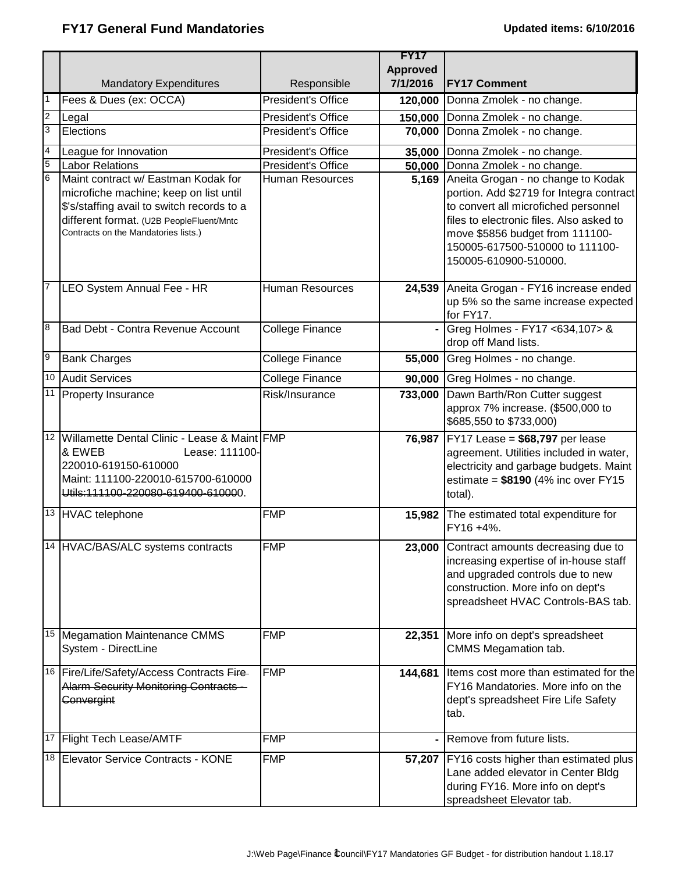|                  |                                                                                  |                           | <b>FY17</b><br><b>Approved</b> |                                                                                      |
|------------------|----------------------------------------------------------------------------------|---------------------------|--------------------------------|--------------------------------------------------------------------------------------|
|                  | <b>Mandatory Expenditures</b>                                                    | Responsible               | 7/1/2016                       | <b>FY17 Comment</b>                                                                  |
| $\vert$ 1        | Fees & Dues (ex: OCCA)                                                           | <b>President's Office</b> | 120,000                        | Donna Zmolek - no change.                                                            |
| $\overline{2}$   | Legal                                                                            | President's Office        | 150,000                        | Donna Zmolek - no change.                                                            |
| $\overline{3}$   | Elections                                                                        | President's Office        | 70,000                         | Donna Zmolek - no change.                                                            |
| $\overline{4}$   | League for Innovation                                                            | President's Office        | 35,000                         | Donna Zmolek - no change.                                                            |
| 5                | <b>Labor Relations</b>                                                           | President's Office        | 50,000                         | Donna Zmolek - no change.                                                            |
| $6\phantom{1}6$  | Maint contract w/ Eastman Kodak for                                              | <b>Human Resources</b>    | 5,169                          | Aneita Grogan - no change to Kodak                                                   |
|                  | microfiche machine; keep on list until                                           |                           |                                | portion. Add \$2719 for Integra contract                                             |
|                  | \$'s/staffing avail to switch records to a                                       |                           |                                | to convert all microfiched personnel<br>files to electronic files. Also asked to     |
|                  | different format. (U2B PeopleFluent/Mntc<br>Contracts on the Mandatories lists.) |                           |                                | move \$5856 budget from 111100-                                                      |
|                  |                                                                                  |                           |                                | 150005-617500-510000 to 111100-                                                      |
|                  |                                                                                  |                           |                                | 150005-610900-510000.                                                                |
|                  |                                                                                  |                           |                                |                                                                                      |
| $\overline{7}$   | LEO System Annual Fee - HR                                                       | <b>Human Resources</b>    | 24,539                         | Aneita Grogan - FY16 increase ended                                                  |
|                  |                                                                                  |                           |                                | up 5% so the same increase expected                                                  |
| $\boldsymbol{8}$ | Bad Debt - Contra Revenue Account                                                |                           |                                | for FY17.                                                                            |
|                  |                                                                                  | College Finance           |                                | Greg Holmes - FY17 <634,107> &<br>drop off Mand lists.                               |
| 6                | <b>Bank Charges</b>                                                              | College Finance           | 55,000                         | Greg Holmes - no change.                                                             |
| 10               | <b>Audit Services</b>                                                            | College Finance           | 90,000                         | Greg Holmes - no change.                                                             |
|                  | 11 Property Insurance                                                            | Risk/Insurance            | 733,000                        | Dawn Barth/Ron Cutter suggest                                                        |
|                  |                                                                                  |                           |                                | approx 7% increase. (\$500,000 to                                                    |
|                  |                                                                                  |                           |                                | \$685,550 to \$733,000)                                                              |
| 12               | Willamette Dental Clinic - Lease & Maint FMP                                     |                           | 76,987                         | $FY17$ Lease = \$68,797 per lease                                                    |
|                  | & EWEB<br>Lease: 111100-                                                         |                           |                                | agreement. Utilities included in water,                                              |
|                  | 220010-619150-610000                                                             |                           |                                | electricity and garbage budgets. Maint                                               |
|                  | Maint: 111100-220010-615700-610000<br>Utils: 111100-220080-619400-610000.        |                           |                                | estimate = $$8190$ (4% inc over FY15<br>total).                                      |
|                  |                                                                                  |                           |                                |                                                                                      |
|                  | 13 HVAC telephone                                                                | <b>FMP</b>                | 15,982                         | The estimated total expenditure for                                                  |
|                  |                                                                                  |                           |                                | FY16 +4%.                                                                            |
|                  | 14 HVAC/BAS/ALC systems contracts                                                | <b>FMP</b>                |                                | 23,000 Contract amounts decreasing due to                                            |
|                  |                                                                                  |                           |                                | increasing expertise of in-house staff                                               |
|                  |                                                                                  |                           |                                | and upgraded controls due to new<br>construction. More info on dept's                |
|                  |                                                                                  |                           |                                | spreadsheet HVAC Controls-BAS tab.                                                   |
|                  |                                                                                  |                           |                                |                                                                                      |
|                  | 15   Megamation Maintenance CMMS                                                 | <b>FMP</b>                | 22,351                         | More info on dept's spreadsheet                                                      |
|                  | System - DirectLine                                                              |                           |                                | CMMS Megamation tab.                                                                 |
|                  | 16 Fire/Life/Safety/Access Contracts Fire-                                       | <b>FMP</b>                | 144,681                        | Items cost more than estimated for the                                               |
|                  | <b>Alarm Security Monitoring Contracts -</b>                                     |                           |                                | FY16 Mandatories. More info on the                                                   |
|                  | Convergint                                                                       |                           |                                | dept's spreadsheet Fire Life Safety                                                  |
|                  |                                                                                  |                           |                                | tab.                                                                                 |
|                  | 17 Flight Tech Lease/AMTF                                                        | <b>FMP</b>                |                                | Remove from future lists.                                                            |
|                  | 18 Elevator Service Contracts - KONE                                             | <b>FMP</b>                |                                |                                                                                      |
|                  |                                                                                  |                           |                                | 57,207   FY16 costs higher than estimated plus<br>Lane added elevator in Center Bldg |
|                  |                                                                                  |                           |                                | during FY16. More info on dept's                                                     |
|                  |                                                                                  |                           |                                | spreadsheet Elevator tab.                                                            |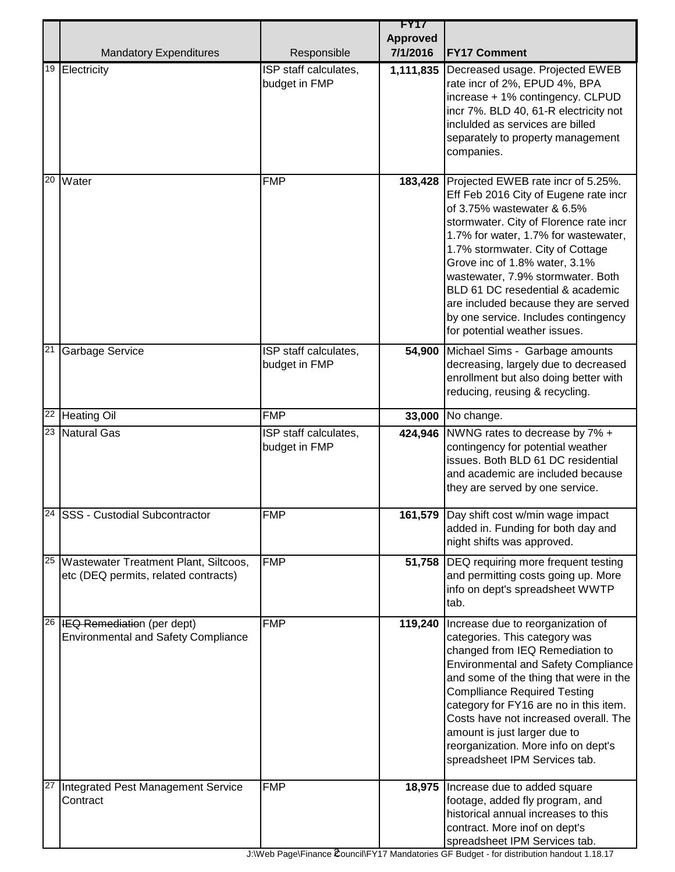|    | <b>Mandatory Expenditures</b>                                                   | Responsible                            | <b>FY17</b><br><b>Approved</b><br>7/1/2016 | <b>FY17 Comment</b>                                                                                                                                                                                                                                                                                                                                                                                                                                        |
|----|---------------------------------------------------------------------------------|----------------------------------------|--------------------------------------------|------------------------------------------------------------------------------------------------------------------------------------------------------------------------------------------------------------------------------------------------------------------------------------------------------------------------------------------------------------------------------------------------------------------------------------------------------------|
| 19 | Electricity                                                                     | ISP staff calculates,<br>budget in FMP | 1,111,835                                  | Decreased usage. Projected EWEB<br>rate incr of 2%, EPUD 4%, BPA<br>increase + 1% contingency. CLPUD<br>incr 7%. BLD 40, 61-R electricity not<br>inclulded as services are billed<br>separately to property management<br>companies.                                                                                                                                                                                                                       |
| 20 | Water                                                                           | <b>FMP</b>                             | 183,428                                    | Projected EWEB rate incr of 5.25%.<br>Eff Feb 2016 City of Eugene rate incr<br>of 3.75% wastewater & 6.5%<br>stormwater. City of Florence rate incr<br>1.7% for water, 1.7% for wastewater,<br>1.7% stormwater. City of Cottage<br>Grove inc of 1.8% water, 3.1%<br>wastewater, 7.9% stormwater. Both<br>BLD 61 DC resedential & academic<br>are included because they are served<br>by one service. Includes contingency<br>for potential weather issues. |
| 21 | <b>Garbage Service</b>                                                          | ISP staff calculates,<br>budget in FMP | 54,900                                     | Michael Sims - Garbage amounts<br>decreasing, largely due to decreased<br>enrollment but also doing better with<br>reducing, reusing & recycling.                                                                                                                                                                                                                                                                                                          |
|    | <sup>22</sup> Heating Oil                                                       | <b>FMP</b>                             | 33,000                                     | No change.                                                                                                                                                                                                                                                                                                                                                                                                                                                 |
| 23 | Natural Gas                                                                     | ISP staff calculates,<br>budget in FMP | 424,946                                    | NWNG rates to decrease by 7% +<br>contingency for potential weather<br>issues. Both BLD 61 DC residential<br>and academic are included because<br>they are served by one service.                                                                                                                                                                                                                                                                          |
|    | 24 SSS - Custodial Subcontractor                                                | <b>FMP</b>                             |                                            | 161,579 Day shift cost w/min wage impact<br>added in. Funding for both day and<br>night shifts was approved.                                                                                                                                                                                                                                                                                                                                               |
| 25 | Wastewater Treatment Plant, Siltcoos,<br>etc (DEQ permits, related contracts)   | <b>FMP</b>                             | 51,758                                     | DEQ requiring more frequent testing<br>and permitting costs going up. More<br>info on dept's spreadsheet WWTP<br>tab.                                                                                                                                                                                                                                                                                                                                      |
| 26 | <b>IEQ Remediation (per dept)</b><br><b>Environmental and Safety Compliance</b> | <b>FMP</b>                             | 119,240                                    | Increase due to reorganization of<br>categories. This category was<br>changed from IEQ Remediation to<br><b>Environmental and Safety Compliance</b><br>and some of the thing that were in the<br><b>Complliance Required Testing</b><br>category for FY16 are no in this item.<br>Costs have not increased overall. The<br>amount is just larger due to<br>reorganization. More info on dept's<br>spreadsheet IPM Services tab.                            |
| 27 | Integrated Pest Management Service<br>Contract                                  | <b>FMP</b>                             | 18,975                                     | Increase due to added square<br>footage, added fly program, and<br>historical annual increases to this<br>contract. More inof on dept's<br>spreadsheet IPM Services tab.                                                                                                                                                                                                                                                                                   |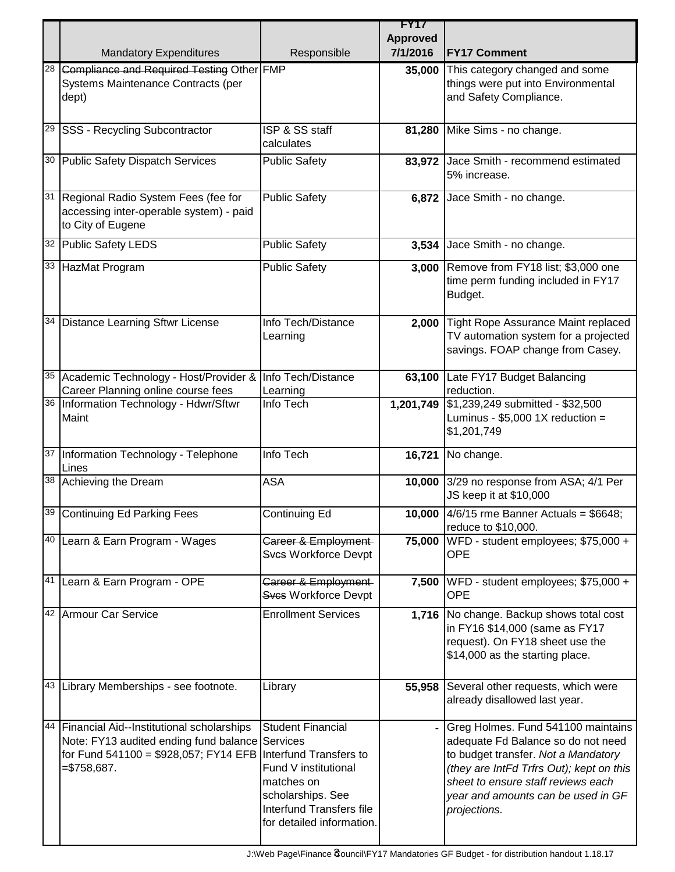|                 |                                                                                                                   |                                             | <b>FY17</b><br><b>Approved</b> |                                                                            |
|-----------------|-------------------------------------------------------------------------------------------------------------------|---------------------------------------------|--------------------------------|----------------------------------------------------------------------------|
|                 | <b>Mandatory Expenditures</b>                                                                                     | Responsible                                 | 7/1/2016                       | <b>FY17 Comment</b>                                                        |
| 28              | Compliance and Required Testing Other FMP                                                                         |                                             | 35,000                         | This category changed and some                                             |
|                 | Systems Maintenance Contracts (per                                                                                |                                             |                                | things were put into Environmental                                         |
|                 | dept)                                                                                                             |                                             |                                | and Safety Compliance.                                                     |
|                 |                                                                                                                   |                                             |                                |                                                                            |
|                 | <sup>29</sup> SSS - Recycling Subcontractor                                                                       | ISP & SS staff                              | 81,280                         | Mike Sims - no change.                                                     |
|                 |                                                                                                                   | calculates                                  |                                |                                                                            |
|                 | 30 Public Safety Dispatch Services                                                                                | <b>Public Safety</b>                        | 83,972                         | Jace Smith - recommend estimated                                           |
|                 |                                                                                                                   |                                             |                                | 5% increase.                                                               |
|                 | 31 Regional Radio System Fees (fee for                                                                            | <b>Public Safety</b>                        | 6,872                          | Jace Smith - no change.                                                    |
|                 | accessing inter-operable system) - paid                                                                           |                                             |                                |                                                                            |
|                 | to City of Eugene                                                                                                 |                                             |                                |                                                                            |
|                 | 32 Public Safety LEDS                                                                                             | <b>Public Safety</b>                        | 3,534                          | Jace Smith - no change.                                                    |
|                 | 33 HazMat Program                                                                                                 | <b>Public Safety</b>                        | 3,000                          | Remove from FY18 list; \$3,000 one                                         |
|                 |                                                                                                                   |                                             |                                | time perm funding included in FY17                                         |
|                 |                                                                                                                   |                                             |                                | Budget.                                                                    |
|                 |                                                                                                                   |                                             |                                |                                                                            |
| 34              | <b>Distance Learning Sftwr License</b>                                                                            | Info Tech/Distance                          | 2,000                          | Tight Rope Assurance Maint replaced                                        |
|                 |                                                                                                                   | Learning                                    |                                | TV automation system for a projected<br>savings. FOAP change from Casey.   |
|                 |                                                                                                                   |                                             |                                |                                                                            |
|                 | 35 Academic Technology - Host/Provider &                                                                          | Info Tech/Distance                          | 63,100                         | Late FY17 Budget Balancing                                                 |
|                 | Career Planning online course fees                                                                                | Learning                                    |                                | reduction.                                                                 |
|                 | 36   Information Technology - Hdwr/Sftwr                                                                          | Info Tech                                   | 1,201,749                      | \$1,239,249 submitted - \$32,500                                           |
|                 | Maint                                                                                                             |                                             |                                | Luminus - $$5,000$ 1X reduction =<br>\$1,201,749                           |
|                 |                                                                                                                   |                                             |                                |                                                                            |
| $\overline{37}$ | Information Technology - Telephone                                                                                | Info Tech                                   | 16,721                         | No change.                                                                 |
|                 | Lines<br>38 Achieving the Dream                                                                                   | <b>ASA</b>                                  |                                | 3/29 no response from ASA; 4/1 Per                                         |
|                 |                                                                                                                   |                                             | 10,000                         | JS keep it at \$10,000                                                     |
|                 | 39 Continuing Ed Parking Fees                                                                                     | <b>Continuing Ed</b>                        |                                | 10,000 4/6/15 rme Banner Actuals = \$6648;                                 |
|                 |                                                                                                                   |                                             |                                | reduce to \$10,000.                                                        |
|                 | 40 Learn & Earn Program - Wages                                                                                   | Career & Employment-                        | 75,000                         | WFD - student employees; \$75,000 +                                        |
|                 |                                                                                                                   | Sves Workforce Devpt                        |                                | <b>OPE</b>                                                                 |
|                 |                                                                                                                   |                                             |                                |                                                                            |
|                 | 41 Learn & Earn Program - OPE                                                                                     | Career & Employment<br>Sves Workforce Devpt | 7,500                          | WFD - student employees; \$75,000 +<br><b>OPE</b>                          |
|                 |                                                                                                                   |                                             |                                |                                                                            |
|                 | 42 Armour Car Service                                                                                             | <b>Enrollment Services</b>                  |                                | 1,716 No change. Backup shows total cost<br>in FY16 \$14,000 (same as FY17 |
|                 |                                                                                                                   |                                             |                                | request). On FY18 sheet use the                                            |
|                 |                                                                                                                   |                                             |                                | \$14,000 as the starting place.                                            |
|                 |                                                                                                                   |                                             |                                |                                                                            |
|                 | 43 Library Memberships - see footnote.                                                                            | Library                                     | 55,958                         | Several other requests, which were                                         |
|                 |                                                                                                                   |                                             |                                | already disallowed last year.                                              |
|                 |                                                                                                                   |                                             |                                |                                                                            |
| 44              | Financial Aid--Institutional scholarships                                                                         | Student Financial                           |                                | Greg Holmes. Fund 541100 maintains                                         |
|                 | Note: FY13 audited ending fund balance Services<br>for Fund $541100 = $928,057$ ; FY14 EFB Interfund Transfers to |                                             |                                | adequate Fd Balance so do not need<br>to budget transfer. Not a Mandatory  |
|                 | $= $758,687.$                                                                                                     | Fund V institutional                        |                                | (they are IntFd Trfrs Out); kept on this                                   |
|                 |                                                                                                                   | matches on                                  |                                | sheet to ensure staff reviews each                                         |
|                 |                                                                                                                   | scholarships. See                           |                                | year and amounts can be used in GF                                         |
|                 |                                                                                                                   | <b>Interfund Transfers file</b>             |                                | projections.                                                               |
|                 |                                                                                                                   | for detailed information.                   |                                |                                                                            |